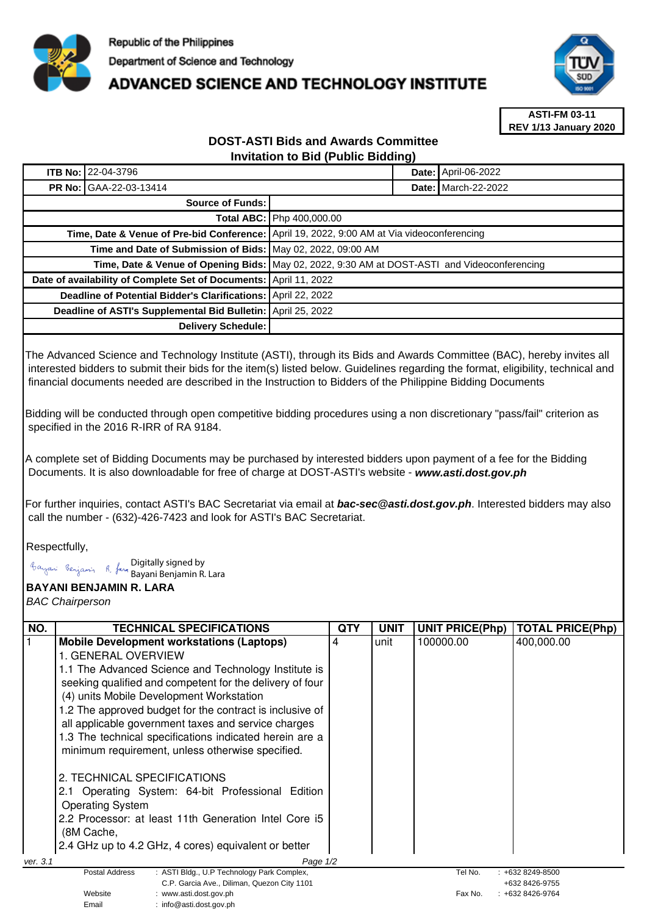

## **ADVANCED SCIENCE AND TECHNOLOGY INSTITUTE**



**ASTI-FM 03-11 REV 1/13 January 2020**

## **DOST-ASTI Bids and Awards Committee Invitation to Bid (Public Bidding)**

|                                                                   | <b>ITB No: 22-04-3796</b>                                     |                                                                                                |  | <b>Date: April-06-2022</b>   |  |
|-------------------------------------------------------------------|---------------------------------------------------------------|------------------------------------------------------------------------------------------------|--|------------------------------|--|
|                                                                   | <b>PR No: GAA-22-03-13414</b>                                 |                                                                                                |  | <b>Date: I</b> March-22-2022 |  |
| <b>Source of Funds:</b>                                           |                                                               |                                                                                                |  |                              |  |
|                                                                   |                                                               | <b>Total ABC: Php 400,000.00</b>                                                               |  |                              |  |
|                                                                   |                                                               | Time, Date & Venue of Pre-bid Conference: April 19, 2022, 9:00 AM at Via videoconferencing     |  |                              |  |
|                                                                   | Time and Date of Submission of Bids: May 02, 2022, 09:00 AM   |                                                                                                |  |                              |  |
|                                                                   |                                                               | Time, Date & Venue of Opening Bids:   May 02, 2022, 9:30 AM at DOST-ASTI and Videoconferencing |  |                              |  |
| Date of availability of Complete Set of Documents: April 11, 2022 |                                                               |                                                                                                |  |                              |  |
|                                                                   | Deadline of Potential Bidder's Clarifications: April 22, 2022 |                                                                                                |  |                              |  |
|                                                                   | Deadline of ASTI's Supplemental Bid Bulletin: April 25, 2022  |                                                                                                |  |                              |  |
|                                                                   | Delivery Schedule:                                            |                                                                                                |  |                              |  |

The Advanced Science and Technology Institute (ASTI), through its Bids and Awards Committee (BAC), hereby invites all interested bidders to submit their bids for the item(s) listed below. Guidelines regarding the format, eligibility, technical and financial documents needed are described in the Instruction to Bidders of the Philippine Bidding Documents

Bidding will be conducted through open competitive bidding procedures using a non discretionary "pass/fail" criterion as specified in the 2016 R-IRR of RA 9184.

A complete set of Bidding Documents may be purchased by interested bidders upon payment of a fee for the Bidding Documents. It is also downloadable for free of charge at DOST-ASTI's website - **www.asti.dost.gov.ph**

For further inquiries, contact ASTI's BAC Secretariat via email at **bac-sec@asti.dost.gov.ph**. Interested bidders may also call the number - (632)-426-7423 and look for ASTI's BAC Secretariat.

Respectfully,

Digitally signed by

Bayani Benjamin R. Lara

Email : info@asti.dost.gov.ph

**BAYANI BENJAMIN R. LARA** 

BAC Chairperson

| 400,000.00                       |  |  |  |  |  |  |
|----------------------------------|--|--|--|--|--|--|
|                                  |  |  |  |  |  |  |
|                                  |  |  |  |  |  |  |
|                                  |  |  |  |  |  |  |
|                                  |  |  |  |  |  |  |
|                                  |  |  |  |  |  |  |
|                                  |  |  |  |  |  |  |
|                                  |  |  |  |  |  |  |
|                                  |  |  |  |  |  |  |
|                                  |  |  |  |  |  |  |
|                                  |  |  |  |  |  |  |
|                                  |  |  |  |  |  |  |
|                                  |  |  |  |  |  |  |
|                                  |  |  |  |  |  |  |
|                                  |  |  |  |  |  |  |
| ver. 3.1<br>Page 1/2             |  |  |  |  |  |  |
| $: +6328249 - 8500$              |  |  |  |  |  |  |
| +632 8426-9755<br>+632 8426-9764 |  |  |  |  |  |  |
|                                  |  |  |  |  |  |  |